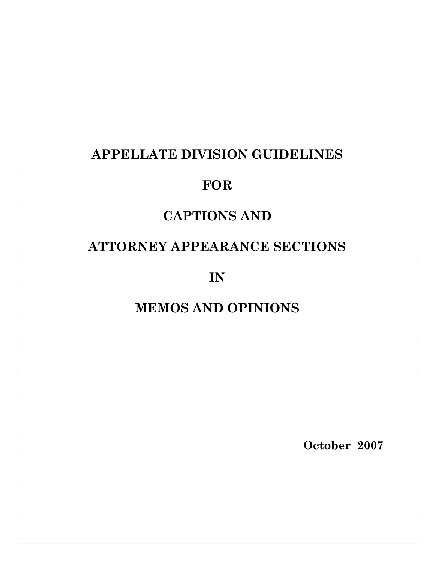## **APPELLATE DIVISION GUIDELINES**

## **FOR**

## **CAPTIONS AND**

## **ATTORNEY APPEARANCE SECTIONS**

**IN** 

## **MEMOS AND OPINIONS**

**October 2007**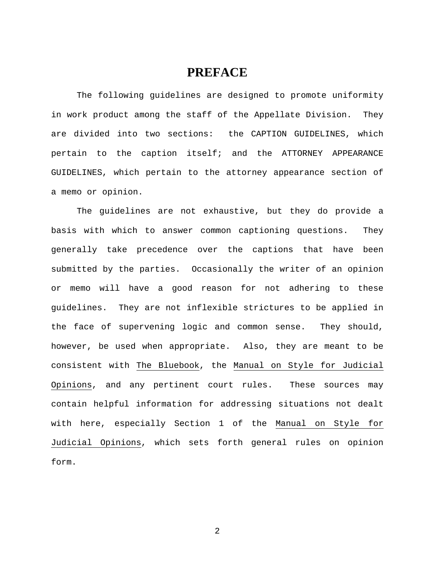## **PREFACE**

The following guidelines are designed to promote uniformity in work product among the staff of the Appellate Division. They are divided into two sections: the CAPTION GUIDELINES, which pertain to the caption itself; and the ATTORNEY APPEARANCE GUIDELINES, which pertain to the attorney appearance section of a memo or opinion.

 The guidelines are not exhaustive, but they do provide a basis with which to answer common captioning questions. They generally take precedence over the captions that have been submitted by the parties. Occasionally the writer of an opinion or memo will have a good reason for not adhering to these guidelines. They are not inflexible strictures to be applied in the face of supervening logic and common sense. They should, however, be used when appropriate. Also, they are meant to be consistent with The Bluebook, the Manual on Style for Judicial Opinions, and any pertinent court rules. These sources may contain helpful information for addressing situations not dealt with here, especially Section 1 of the Manual on Style for Judicial Opinions, which sets forth general rules on opinion form.

2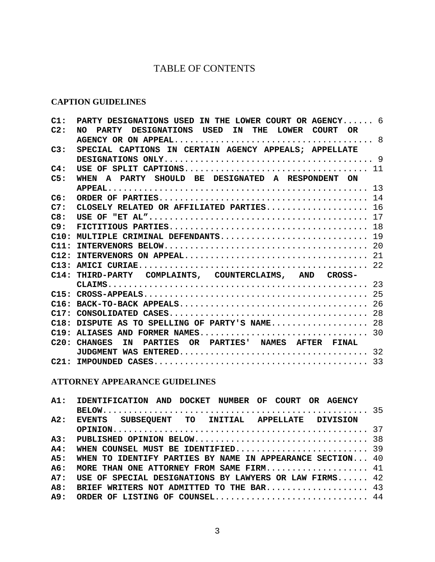## TABLE OF CONTENTS

### **CAPTION GUIDELINES**

| C1: | PARTY DESIGNATIONS USED IN THE LOWER COURT OR AGENCY 6 |  |
|-----|--------------------------------------------------------|--|
| C2: | NO PARTY DESIGNATIONS USED IN THE LOWER COURT OR       |  |
|     |                                                        |  |
| C3: | SPECIAL CAPTIONS IN CERTAIN AGENCY APPEALS; APPELLATE  |  |
|     |                                                        |  |
| C4: |                                                        |  |
| C5: | WHEN A PARTY SHOULD BE DESIGNATED A RESPONDENT ON      |  |
|     |                                                        |  |
| C6: |                                                        |  |
| C7: | CLOSELY RELATED OR AFFILIATED PARTIES 16               |  |
| C8: |                                                        |  |
| C9: |                                                        |  |
|     | C10: MULTIPLE CRIMINAL DEFENDANTS 19                   |  |
|     |                                                        |  |
|     |                                                        |  |
|     |                                                        |  |
|     | C14: THIRD-PARTY COMPLAINTS, COUNTERCLAIMS, AND CROSS- |  |
|     |                                                        |  |
|     |                                                        |  |
|     |                                                        |  |
|     |                                                        |  |
|     | C18: DISPUTE AS TO SPELLING OF PARTY'S NAME 28         |  |
|     |                                                        |  |
|     | C20: CHANGES IN PARTIES OR PARTIES' NAMES AFTER FINAL  |  |
|     |                                                        |  |
|     |                                                        |  |

### **ATTORNEY APPEARANCE GUIDELINES**

|     | A1: IDENTIFICATION AND DOCKET NUMBER OF COURT OR AGENCY    |  |
|-----|------------------------------------------------------------|--|
|     |                                                            |  |
| A2: | EVENTS SUBSEQUENT TO INITIAL APPELLATE DIVISION            |  |
|     |                                                            |  |
|     |                                                            |  |
| A4: | WHEN COUNSEL MUST BE IDENTIFIED 39                         |  |
| A5: | WHEN TO IDENTIFY PARTIES BY NAME IN APPEARANCE SECTION 40  |  |
| A6: | MORE THAN ONE ATTORNEY FROM SAME FIRM 41                   |  |
|     | A7: USE OF SPECIAL DESIGNATIONS BY LAWYERS OR LAW FIRMS 42 |  |
| AB: | BRIEF WRITERS NOT ADMITTED TO THE BAR $43$                 |  |
|     | A9: ORDER OF LISTING OF COUNSEL 44                         |  |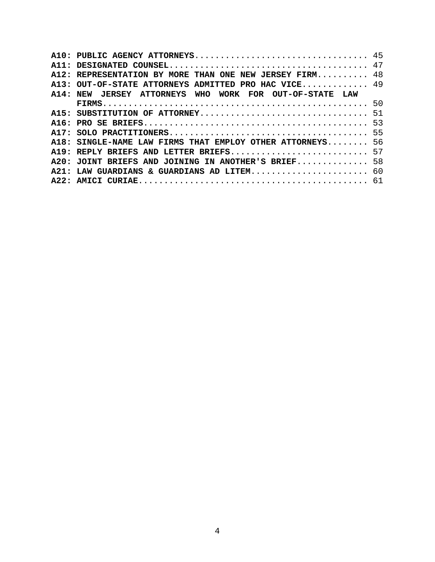| A12: REPRESENTATION BY MORE THAN ONE NEW JERSEY FIRM 48   |  |
|-----------------------------------------------------------|--|
| A13: OUT-OF-STATE ATTORNEYS ADMITTED PRO HAC VICE 49      |  |
| A14: NEW JERSEY ATTORNEYS WHO WORK FOR OUT-OF-STATE LAW   |  |
|                                                           |  |
|                                                           |  |
|                                                           |  |
|                                                           |  |
| A18: SINGLE-NAME LAW FIRMS THAT EMPLOY OTHER ATTORNEYS 56 |  |
| A19: REPLY BRIEFS AND LETTER BRIEFS 57                    |  |
| A20: JOINT BRIEFS AND JOINING IN ANOTHER'S BRIEF 58       |  |
| A21: LAW GUARDIANS & GUARDIANS AD LITEM 60                |  |
|                                                           |  |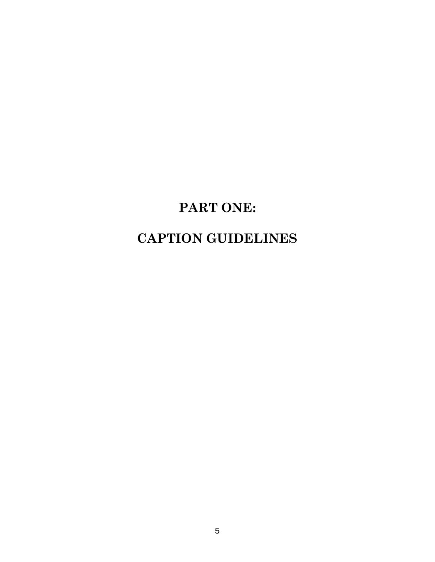# **PART ONE:**

## **CAPTION GUIDELINES**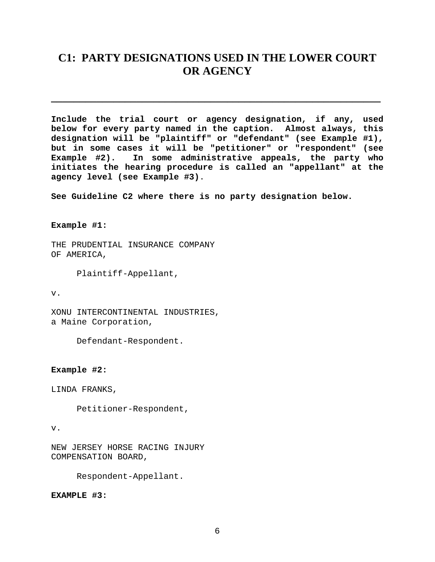## <span id="page-5-0"></span>**C1: PARTY DESIGNATIONS USED IN THE LOWER COURT OR AGENCY**

**\_\_\_\_\_\_\_\_\_\_\_\_\_\_\_\_\_\_\_\_\_\_\_\_\_\_\_\_\_\_\_\_\_\_\_\_\_\_\_\_\_\_\_\_\_\_\_\_\_\_\_\_\_\_\_\_\_\_**

**Include the trial court or agency designation, if any, used below for every party named in the caption. Almost always, this designation will be "plaintiff" or "defendant" (see Example #1), but in some cases it will be "petitioner" or "respondent" (see Example #2). In some administrative appeals, the party who initiates the hearing procedure is called an "appellant" at the agency level (see Example #3)**.

**See Guideline C2 where there is no party designation below.**

**Example #1:**

THE PRUDENTIAL INSURANCE COMPANY OF AMERICA,

Plaintiff-Appellant,

v.

XONU INTERCONTINENTAL INDUSTRIES, a Maine Corporation,

Defendant-Respondent.

**Example #2:**

LINDA FRANKS,

Petitioner-Respondent,

#### v.

NEW JERSEY HORSE RACING INJURY COMPENSATION BOARD,

Respondent-Appellant.

**EXAMPLE #3:**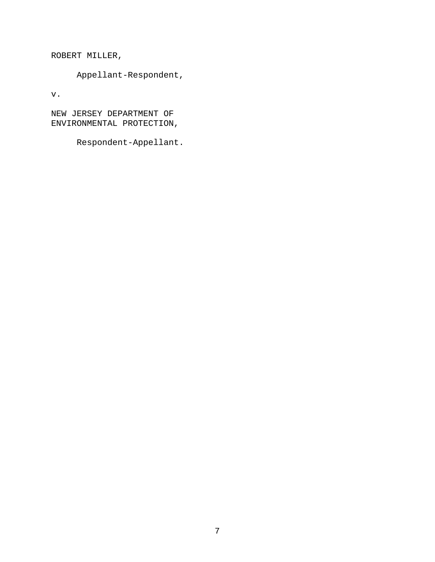ROBERT MILLER,

Appellant-Respondent,

v.

NEW JERSEY DEPARTMENT OF ENVIRONMENTAL PROTECTION,

Respondent-Appellant.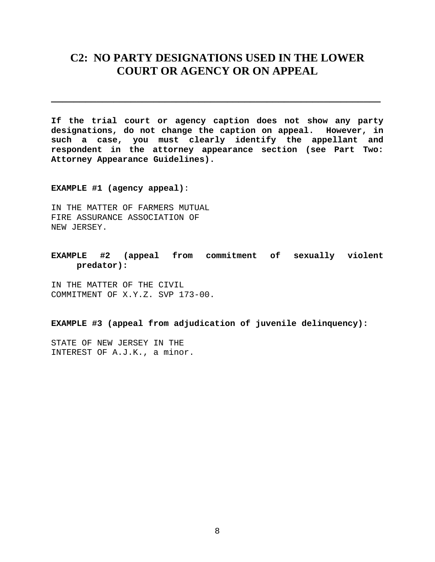## <span id="page-7-0"></span>**C2: NO PARTY DESIGNATIONS USED IN THE LOWER COURT OR AGENCY OR ON APPEAL**

**\_\_\_\_\_\_\_\_\_\_\_\_\_\_\_\_\_\_\_\_\_\_\_\_\_\_\_\_\_\_\_\_\_\_\_\_\_\_\_\_\_\_\_\_\_\_\_\_\_\_\_\_\_\_\_\_\_\_** 

**If the trial court or agency caption does not show any party designations, do not change the caption on appeal. However, in such a case, you must clearly identify the appellant and respondent in the attorney appearance section (see Part Two: Attorney Appearance Guidelines).** 

**EXAMPLE #1 (agency appeal)**:

IN THE MATTER OF FARMERS MUTUAL FIRE ASSURANCE ASSOCIATION OF NEW JERSEY.

**EXAMPLE #2 (appeal from commitment of sexually violent predator):** 

IN THE MATTER OF THE CIVIL COMMITMENT OF X.Y.Z. SVP 173-00.

**EXAMPLE #3 (appeal from adjudication of juvenile delinquency):** 

STATE OF NEW JERSEY IN THE INTEREST OF A.J.K., a minor.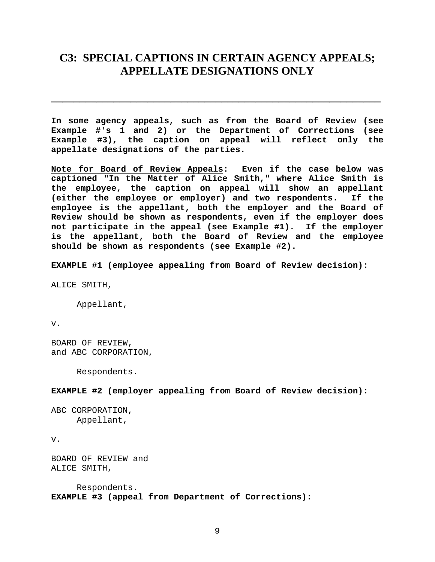## **C3: SPECIAL CAPTIONS IN CERTAIN AGENCY APPEALS; APPELLATE DESIGNATIONS ONLY**

**\_\_\_\_\_\_\_\_\_\_\_\_\_\_\_\_\_\_\_\_\_\_\_\_\_\_\_\_\_\_\_\_\_\_\_\_\_\_\_\_\_\_\_\_\_\_\_\_\_\_\_\_\_\_\_\_\_\_** 

**In some agency appeals, such as from the Board of Review (see Example #'s 1 and 2) or the Department of Corrections (see Example #3), the caption on appeal will reflect only the appellate designations of the parties.** 

**Note for Board of Review Appeals: Even if the case below was captioned "In the Matter of Alice Smith," where Alice Smith is the employee, the caption on appeal will show an appellant (either the employee or employer) and two respondents. If the employee is the appellant, both the employer and the Board of Review should be shown as respondents, even if the employer does not participate in the appeal (see Example #1). If the employer is the appellant, both the Board of Review and the employee should be shown as respondents (see Example #2).** 

**EXAMPLE #1 (employee appealing from Board of Review decision):** 

ALICE SMITH,

Appellant,

v.

BOARD OF REVIEW, and ABC CORPORATION,

Respondents.

**EXAMPLE #2 (employer appealing from Board of Review decision):** 

```
ABC CORPORATION, 
Appellant,
```
v.

BOARD OF REVIEW and ALICE SMITH,

 Respondents. **EXAMPLE #3 (appeal from Department of Corrections):**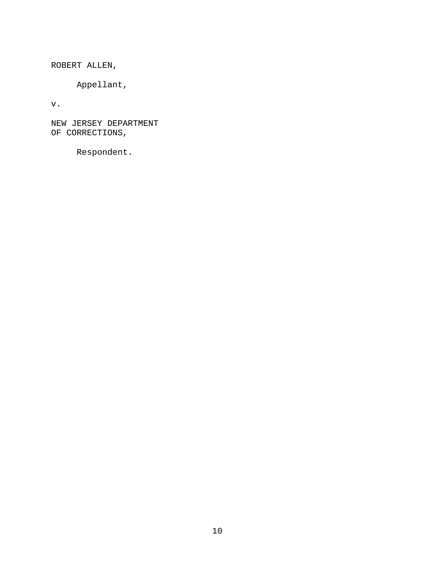ROBERT ALLEN,

Appellant,

v.

NEW JERSEY DEPARTMENT OF CORRECTIONS,

Respondent.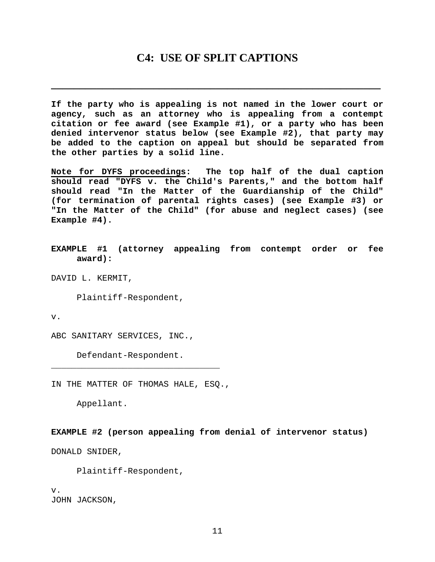### **C4: USE OF SPLIT CAPTIONS**

<span id="page-10-0"></span>**\_\_\_\_\_\_\_\_\_\_\_\_\_\_\_\_\_\_\_\_\_\_\_\_\_\_\_\_\_\_\_\_\_\_\_\_\_\_\_\_\_\_\_\_\_\_\_\_\_\_\_\_\_\_\_\_\_\_** 

**If the party who is appealing is not named in the lower court or agency, such as an attorney who is appealing from a contempt citation or fee award (see Example #1), or a party who has been denied intervenor status below (see Example #2), that party may be added to the caption on appeal but should be separated from the other parties by a solid line.** 

**Note for DYFS proceedings: The top half of the dual caption should read "DYFS v. the Child's Parents," and the bottom half should read "In the Matter of the Guardianship of the Child" (for termination of parental rights cases) (see Example #3) or "In the Matter of the Child" (for abuse and neglect cases) (see Example #4).**

**EXAMPLE #1 (attorney appealing from contempt order or fee award):** 

DAVID L. KERMIT,

Plaintiff-Respondent,

v.

ABC SANITARY SERVICES, INC.,

Defendant-Respondent.

IN THE MATTER OF THOMAS HALE, ESQ.,

\_\_\_\_\_\_\_\_\_\_\_\_\_\_\_\_\_\_\_\_\_\_\_\_\_\_\_\_\_\_\_\_\_

Appellant.

**EXAMPLE #2 (person appealing from denial of intervenor status)** 

DONALD SNIDER,

Plaintiff-Respondent,

v. JOHN JACKSON,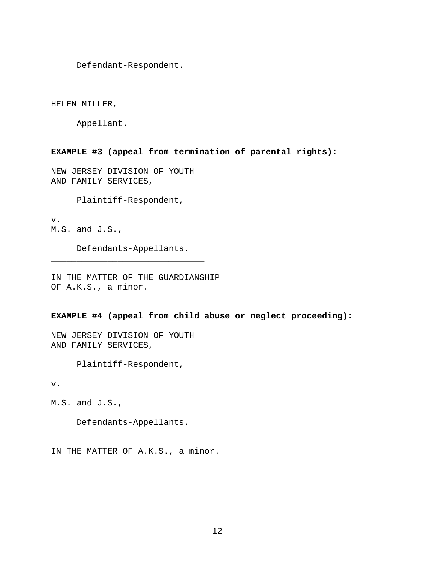Defendant-Respondent.

\_\_\_\_\_\_\_\_\_\_\_\_\_\_\_\_\_\_\_\_\_\_\_\_\_\_\_\_\_\_\_\_\_

HELEN MILLER,

Appellant.

**EXAMPLE #3 (appeal from termination of parental rights):** 

NEW JERSEY DIVISION OF YOUTH AND FAMILY SERVICES,

Plaintiff-Respondent,

v. M.S. and J.S.,

 Defendants-Appellants. \_\_\_\_\_\_\_\_\_\_\_\_\_\_\_\_\_\_\_\_\_\_\_\_\_\_\_\_\_\_

IN THE MATTER OF THE GUARDIANSHIP OF A.K.S., a minor.

**EXAMPLE #4 (appeal from child abuse or neglect proceeding):** 

NEW JERSEY DIVISION OF YOUTH AND FAMILY SERVICES,

Plaintiff-Respondent,

v.

M.S. and J.S.,

 Defendants-Appellants. \_\_\_\_\_\_\_\_\_\_\_\_\_\_\_\_\_\_\_\_\_\_\_\_\_\_\_\_\_\_

IN THE MATTER OF A.K.S., a minor.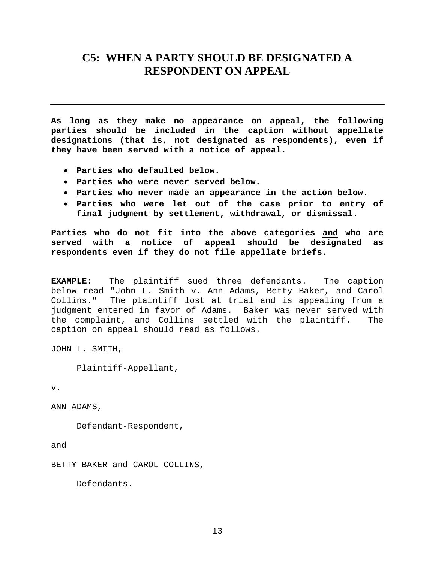## <span id="page-12-0"></span>**C5: WHEN A PARTY SHOULD BE DESIGNATED A RESPONDENT ON APPEAL**

**As long as they make no appearance on appeal, the following parties should be included in the caption without appellate designations (that is, not designated as respondents), even if they have been served with a notice of appeal.** 

- **Parties who defaulted below.**
- **Parties who were never served below.**
- **Parties who never made an appearance in the action below.**
- **Parties who were let out of the case prior to entry of final judgment by settlement, withdrawal, or dismissal.**

**Parties who do not fit into the above categories and who are served with a notice of appeal should be designated as respondents even if they do not file appellate briefs.** 

**EXAMPLE:** The plaintiff sued three defendants. The caption below read "John L. Smith v. Ann Adams, Betty Baker, and Carol Collins." The plaintiff lost at trial and is appealing from a judgment entered in favor of Adams. Baker was never served with the complaint, and Collins settled with the plaintiff. The caption on appeal should read as follows.

JOHN L. SMITH,

Plaintiff-Appellant,

v.

ANN ADAMS,

Defendant-Respondent,

and

BETTY BAKER and CAROL COLLINS,

Defendants.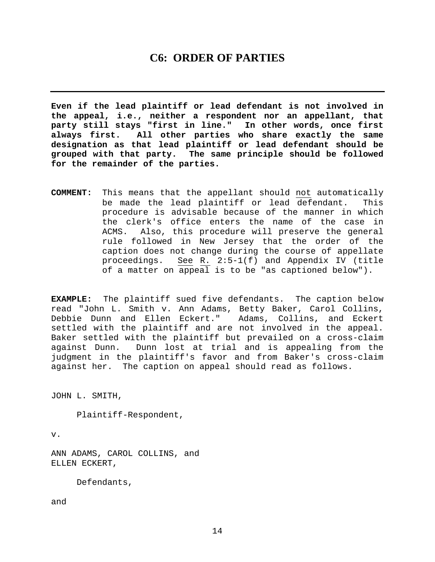## **C6: ORDER OF PARTIES**

<span id="page-13-0"></span>**Even if the lead plaintiff or lead defendant is not involved in the appeal, i.e., neither a respondent nor an appellant, that party still stays "first in line." In other words, once first always first. All other parties who share exactly the same designation as that lead plaintiff or lead defendant should be grouped with that party. The same principle should be followed for the remainder of the parties.** 

**COMMENT:** This means that the appellant should not automatically be made the lead plaintiff or lead defendant. This procedure is advisable because of the manner in which the clerk's office enters the name of the case in ACMS. Also, this procedure will preserve the general rule followed in New Jersey that the order of the caption does not change during the course of appellate proceedings. See R. 2:5-1(f) and Appendix IV (title of a matter on appeal is to be "as captioned below").

**EXAMPLE:** The plaintiff sued five defendants. The caption below read "John L. Smith v. Ann Adams, Betty Baker, Carol Collins, Debbie Dunn and Ellen Eckert." Adams, Collins, and Eckert settled with the plaintiff and are not involved in the appeal. Baker settled with the plaintiff but prevailed on a cross-claim against Dunn. Dunn lost at trial and is appealing from the judgment in the plaintiff's favor and from Baker's cross-claim against her. The caption on appeal should read as follows.

JOHN L. SMITH,

Plaintiff-Respondent,

v.

ANN ADAMS, CAROL COLLINS, and ELLEN ECKERT,

Defendants,

and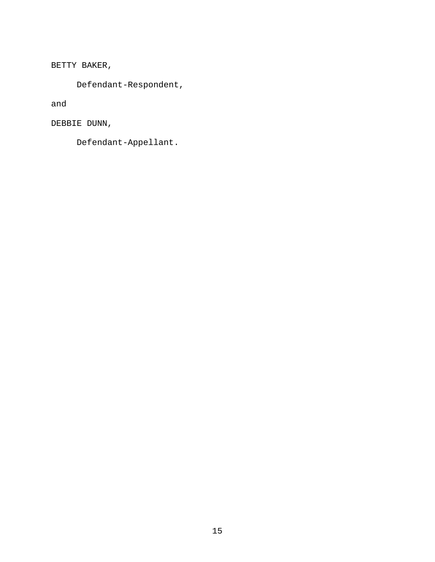BETTY BAKER,

Defendant-Respondent,

and

DEBBIE DUNN,

Defendant-Appellant.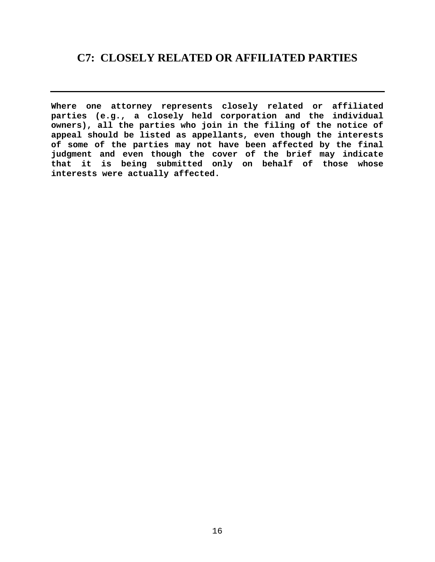## <span id="page-15-0"></span>**C7: CLOSELY RELATED OR AFFILIATED PARTIES**

**Where one attorney represents closely related or affiliated parties (e.g., a closely held corporation and the individual owners), all the parties who join in the filing of the notice of appeal should be listed as appellants, even though the interests of some of the parties may not have been affected by the final judgment and even though the cover of the brief may indicate that it is being submitted only on behalf of those whose interests were actually affected.**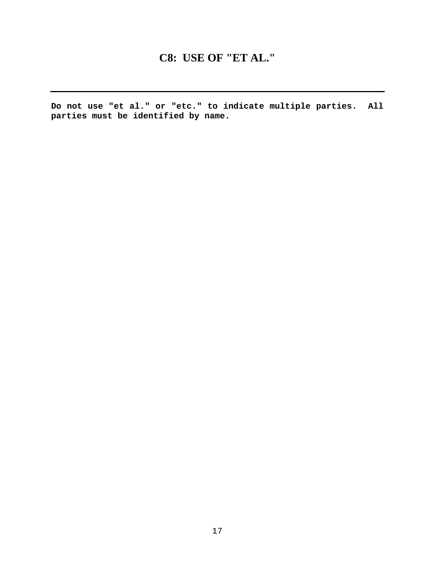## **C8: USE OF "ET AL."**

<span id="page-16-0"></span>**Do not use "et al." or "etc." to indicate multiple parties. All parties must be identified by name.**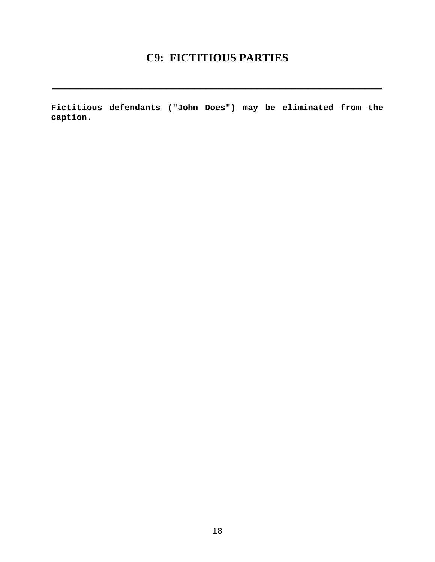## **C9: FICTITIOUS PARTIES**

<span id="page-17-0"></span>**\_\_\_\_\_\_\_\_\_\_\_\_\_\_\_\_\_\_\_\_\_\_\_\_\_\_\_\_\_\_\_\_\_\_\_\_\_\_\_\_\_\_\_\_\_\_\_\_\_\_\_\_\_\_\_\_\_\_** 

**Fictitious defendants ("John Does") may be eliminated from the caption.**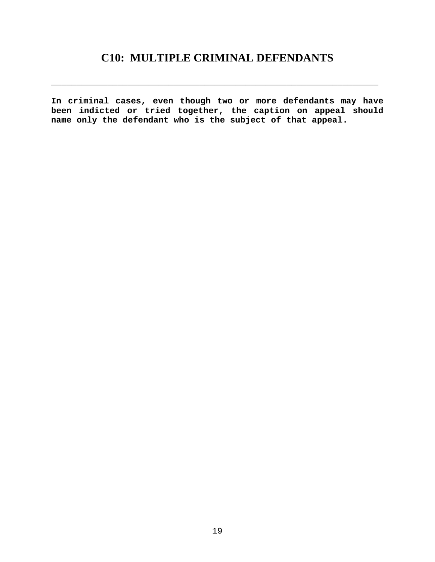## **C10: MULTIPLE CRIMINAL DEFENDANTS**

<span id="page-18-0"></span>\_\_\_\_\_\_\_\_\_\_\_\_\_\_\_\_\_\_\_\_\_\_\_\_\_\_\_\_\_\_\_\_\_\_\_\_\_\_\_\_\_\_\_\_\_\_\_\_\_\_\_\_\_\_\_\_\_\_\_\_\_\_\_\_

**In criminal cases, even though two or more defendants may have been indicted or tried together, the caption on appeal should name only the defendant who is the subject of that appeal.**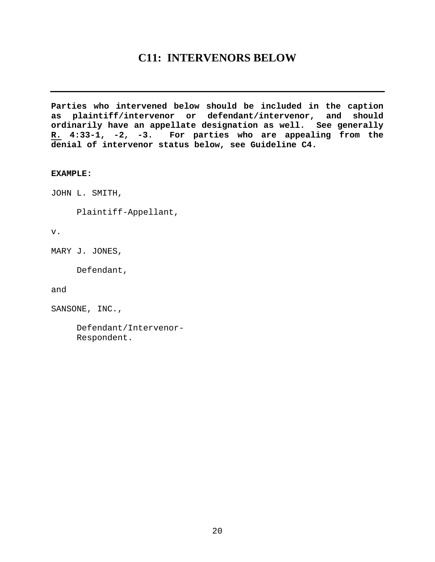## **C11: INTERVENORS BELOW**

<span id="page-19-0"></span>**Parties who intervened below should be included in the caption as plaintiff/intervenor or defendant/intervenor, and should ordinarily have an appellate designation as well. See generally R. 4:33-1, -2, -3. For parties who are appealing from the denial of intervenor status below, see Guideline C4.** 

#### **EXAMPLE:**

JOHN L. SMITH,

Plaintiff-Appellant,

v.

MARY J. JONES,

Defendant,

and

SANSONE, INC.,

 Defendant/Intervenor- Respondent.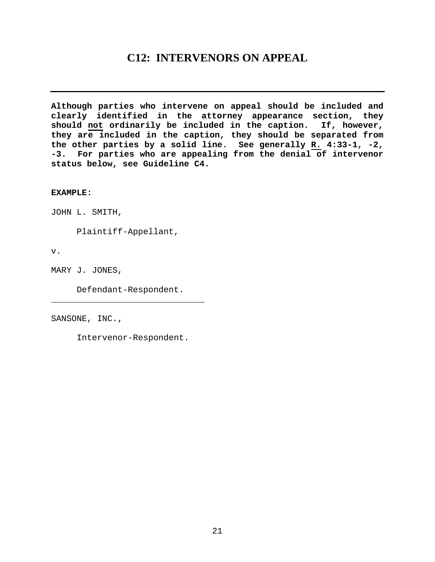## **C12: INTERVENORS ON APPEAL**

<span id="page-20-0"></span>**Although parties who intervene on appeal should be included and clearly identified in the attorney appearance section, they should not ordinarily be included in the caption. If, however, they are included in the caption, they should be separated from the other parties by a solid line. See generally R. 4:33-1, -2, -3. For parties who are appealing from the denial of intervenor status below, see Guideline C4.** 

**EXAMPLE:**

JOHN L. SMITH,

Plaintiff-Appellant,

v.

MARY J. JONES,

 Defendant-Respondent. \_\_\_\_\_\_\_\_\_\_\_\_\_\_\_\_\_\_\_\_\_\_\_\_\_\_\_\_\_\_

SANSONE, INC.,

Intervenor-Respondent.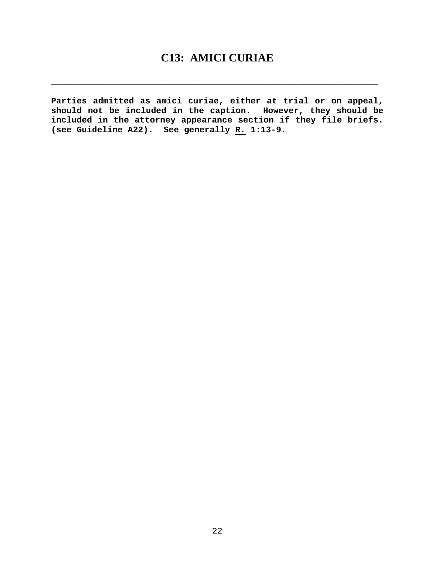## **C13: AMICI CURIAE**

<span id="page-21-0"></span>**\_\_\_\_\_\_\_\_\_\_\_\_\_\_\_\_\_\_\_\_\_\_\_\_\_\_\_\_\_\_\_\_\_\_\_\_\_\_\_\_\_\_\_\_\_\_\_\_\_\_\_\_\_\_\_\_\_\_\_\_\_\_\_\_** 

**Parties admitted as amici curiae, either at trial or on appeal, should not be included in the caption. However, they should be included in the attorney appearance section if they file briefs. (see Guideline A22). See generally R. 1:13-9.**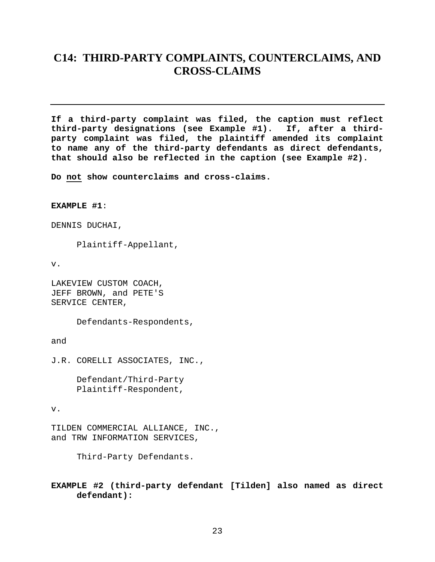## <span id="page-22-0"></span>**C14: THIRD-PARTY COMPLAINTS, COUNTERCLAIMS, AND CROSS-CLAIMS**

**If a third-party complaint was filed, the caption must reflect third-party designations (see Example #1). If, after a thirdparty complaint was filed, the plaintiff amended its complaint to name any of the third-party defendants as direct defendants, that should also be reflected in the caption (see Example #2).** 

**Do not show counterclaims and cross-claims.** 

**EXAMPLE #1**:

DENNIS DUCHAI,

Plaintiff-Appellant,

v.

LAKEVIEW CUSTOM COACH, JEFF BROWN, and PETE'S SERVICE CENTER,

Defendants-Respondents,

and

J.R. CORELLI ASSOCIATES, INC.,

 Defendant/Third-Party Plaintiff-Respondent,

v.

TILDEN COMMERCIAL ALLIANCE, INC., and TRW INFORMATION SERVICES,

Third-Party Defendants.

**EXAMPLE #2 (third-party defendant [Tilden] also named as direct defendant):**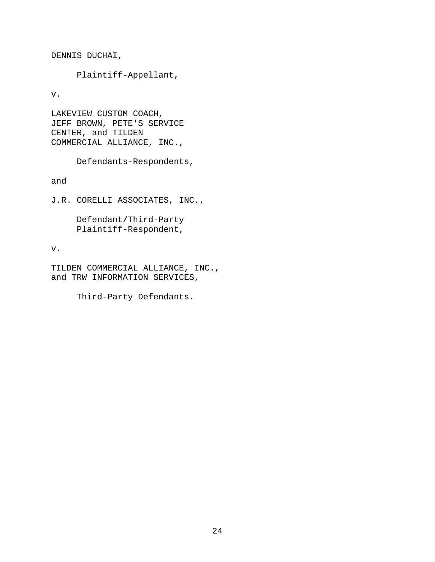DENNIS DUCHAI,

Plaintiff-Appellant,

v.

LAKEVIEW CUSTOM COACH, JEFF BROWN, PETE'S SERVICE CENTER, and TILDEN COMMERCIAL ALLIANCE, INC.,

Defendants-Respondents,

and

J.R. CORELLI ASSOCIATES, INC.,

 Defendant/Third-Party Plaintiff-Respondent,

#### v.

TILDEN COMMERCIAL ALLIANCE, INC., and TRW INFORMATION SERVICES,

Third-Party Defendants.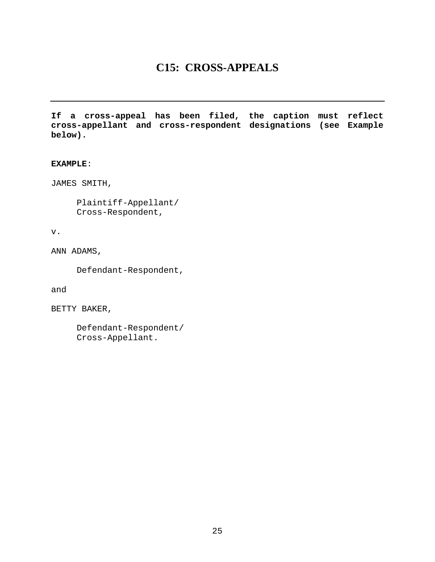## **C15: CROSS-APPEALS**

<span id="page-24-0"></span>**If a cross-appeal has been filed, the caption must reflect cross-appellant and cross-respondent designations (see Example below).** 

#### **EXAMPLE**:

JAMES SMITH,

 Plaintiff-Appellant/ Cross-Respondent,

v.

ANN ADAMS,

Defendant-Respondent,

and

BETTY BAKER,

 Defendant-Respondent/ Cross-Appellant.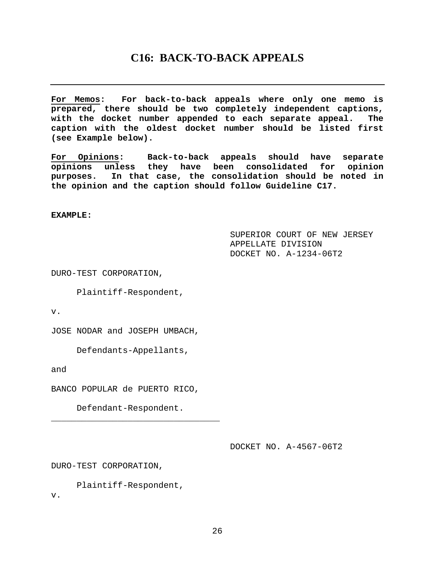## **C16: BACK-TO-BACK APPEALS**

<span id="page-25-0"></span>**For Memos: For back-to-back appeals where only one memo is prepared, there should be two completely independent captions, with the docket number appended to each separate appeal. The caption with the oldest docket number should be listed first (see Example below).** 

**For Opinions: Back-to-back appeals should have separate opinions unless they have been consolidated for opinion purposes. In that case, the consolidation should be noted in the opinion and the caption should follow Guideline C17.** 

**EXAMPLE:**

 SUPERIOR COURT OF NEW JERSEY APPELLATE DIVISION DOCKET NO. A-1234-06T2

DURO-TEST CORPORATION,

Plaintiff-Respondent,

v.

JOSE NODAR and JOSEPH UMBACH,

Defendants-Appellants,

and

v.

BANCO POPULAR de PUERTO RICO,

Defendant-Respondent.

\_\_\_\_\_\_\_\_\_\_\_\_\_\_\_\_\_\_\_\_\_\_\_\_\_\_\_\_\_\_\_\_\_

DOCKET NO. A-4567-06T2

DURO-TEST CORPORATION,

Plaintiff-Respondent,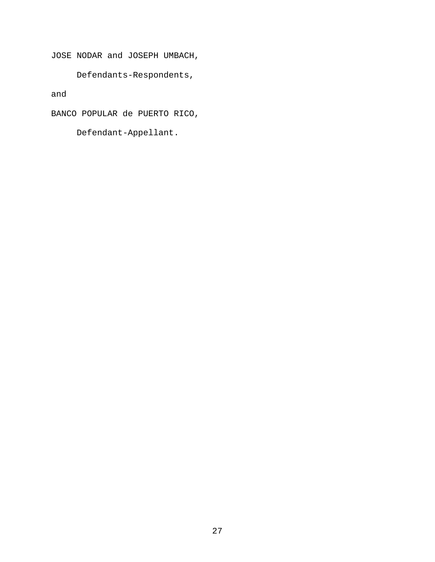JOSE NODAR and JOSEPH UMBACH,

Defendants-Respondents,

and

BANCO POPULAR de PUERTO RICO,

Defendant-Appellant.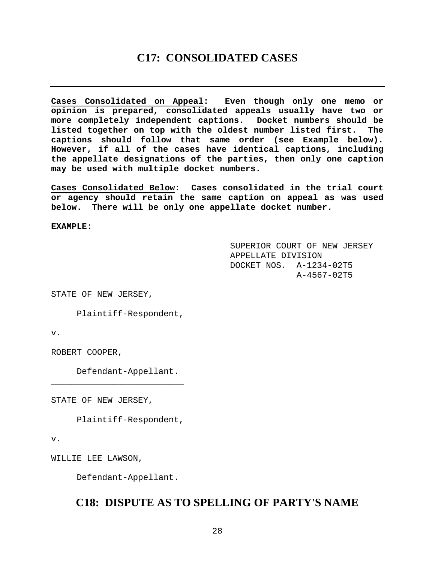## **C17: CONSOLIDATED CASES**

<span id="page-27-0"></span>**Cases Consolidated on Appeal: Even though only one memo or opinion is prepared, consolidated appeals usually have two or more completely independent captions. Docket numbers should be listed together on top with the oldest number listed first. The captions should follow that same order (see Example below). However, if all of the cases have identical captions, including the appellate designations of the parties, then only one caption may be used with multiple docket numbers.** 

**Cases Consolidated Below: Cases consolidated in the trial court or agency should retain the same caption on appeal as was used below. There will be only one appellate docket number.** 

**EXAMPLE:**

 SUPERIOR COURT OF NEW JERSEY APPELLATE DIVISION DOCKET NOS. A-1234-02T5 A-4567-02T5

STATE OF NEW JERSEY,

Plaintiff-Respondent,

v.

ROBERT COOPER,

Defendant-Appellant.

\_\_\_\_\_\_\_\_\_\_\_\_\_\_\_\_\_\_\_\_\_\_\_\_\_\_

STATE OF NEW JERSEY,

Plaintiff-Respondent,

v.

WILLIE LEE LAWSON,

Defendant-Appellant.

## **C18: DISPUTE AS TO SPELLING OF PARTY'S NAME**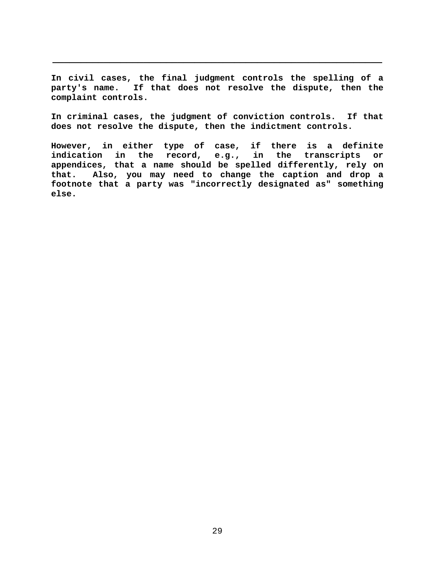**In civil cases, the final judgment controls the spelling of a party's name. If that does not resolve the dispute, then the complaint controls.** 

**\_\_\_\_\_\_\_\_\_\_\_\_\_\_\_\_\_\_\_\_\_\_\_\_\_\_\_\_\_\_\_\_\_\_\_\_\_\_\_\_\_\_\_\_\_\_\_\_\_\_\_\_\_\_\_\_\_\_** 

**In criminal cases, the judgment of conviction controls. If that does not resolve the dispute, then the indictment controls.** 

**However, in either type of case, if there is a definite indication in the record, e.g., in the transcripts or appendices, that a name should be spelled differently, rely on that. Also, you may need to change the caption and drop a footnote that a party was "incorrectly designated as" something else.**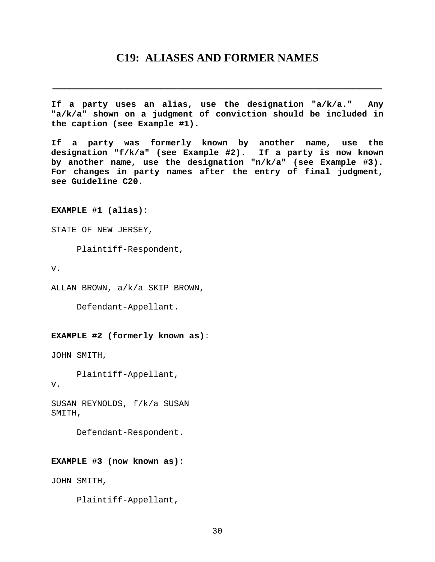## **C19: ALIASES AND FORMER NAMES**

<span id="page-29-0"></span>**\_\_\_\_\_\_\_\_\_\_\_\_\_\_\_\_\_\_\_\_\_\_\_\_\_\_\_\_\_\_\_\_\_\_\_\_\_\_\_\_\_\_\_\_\_\_\_\_\_\_\_\_\_\_\_\_\_\_** 

**If a party uses an alias, use the designation "a/k/a." Any "a/k/a" shown on a judgment of conviction should be included in the caption (see Example #1).** 

**If a party was formerly known by another name, use the designation "f/k/a" (see Example #2). If a party is now known by another name, use the designation "n/k/a" (see Example #3). For changes in party names after the entry of final judgment, see Guideline C20.**

**EXAMPLE #1 (alias)**:

STATE OF NEW JERSEY,

Plaintiff-Respondent,

v.

v.

ALLAN BROWN, a/k/a SKIP BROWN,

Defendant-Appellant.

#### **EXAMPLE #2 (formerly known as)**:

JOHN SMITH,

Plaintiff-Appellant,

SUSAN REYNOLDS, f/k/a SUSAN SMITH,

Defendant-Respondent.

#### **EXAMPLE #3 (now known as)**:

JOHN SMITH,

Plaintiff-Appellant,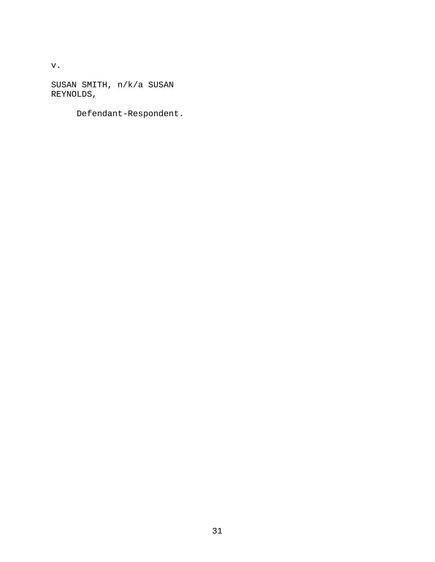v.

SUSAN SMITH, n/k/a SUSAN REYNOLDS,

Defendant-Respondent.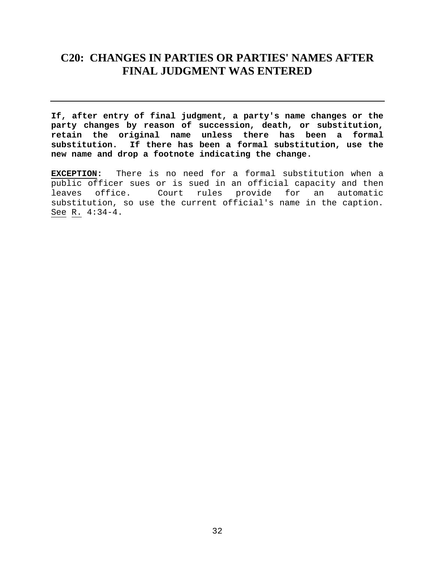## <span id="page-31-0"></span>**C20: CHANGES IN PARTIES OR PARTIES' NAMES AFTER FINAL JUDGMENT WAS ENTERED**

**If, after entry of final judgment, a party's name changes or the party changes by reason of succession, death, or substitution, retain the original name unless there has been a formal substitution. If there has been a formal substitution, use the new name and drop a footnote indicating the change.** 

**EXCEPTION:** There is no need for a formal substitution when a public officer sues or is sued in an official capacity and then leaves office. Court rules provide for an automatic substitution, so use the current official's name in the caption. See R. 4:34-4.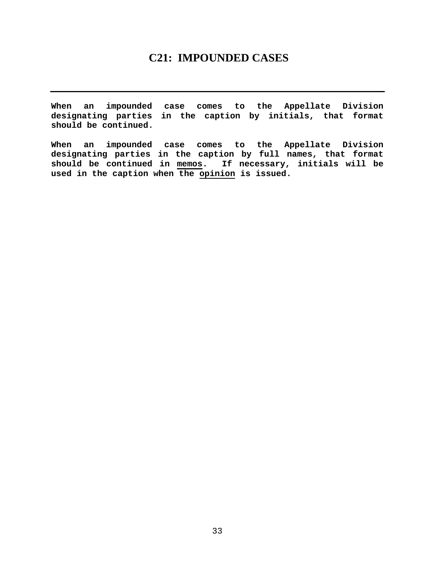## **C21: IMPOUNDED CASES**

<span id="page-32-0"></span>**When an impounded case comes to the Appellate Division designating parties in the caption by initials, that format should be continued.** 

**When an impounded case comes to the Appellate Division designating parties in the caption by full names, that format should be continued in memos. If necessary, initials will be used in the caption when the opinion is issued.**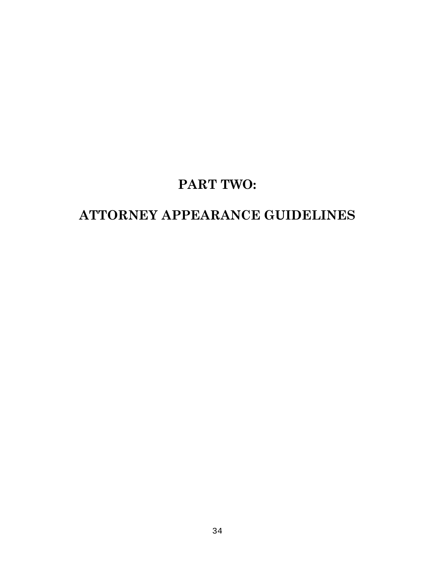## **PART TWO:**

## **ATTORNEY APPEARANCE GUIDELINES**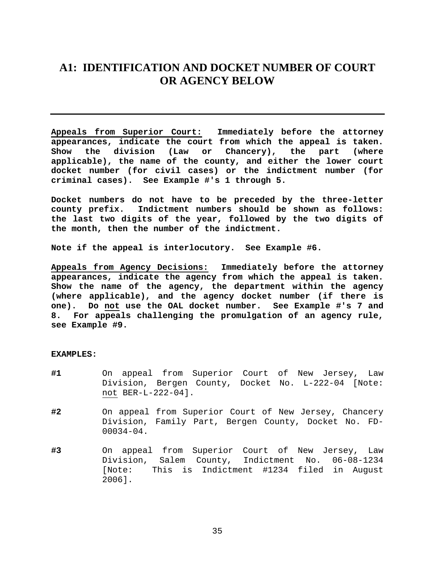## <span id="page-34-0"></span>**A1: IDENTIFICATION AND DOCKET NUMBER OF COURT OR AGENCY BELOW**

**Appeals from Superior Court: Immediately before the attorney appearances, indicate the court from which the appeal is taken. Show the division (Law or Chancery), the part (where applicable), the name of the county, and either the lower court docket number (for civil cases) or the indictment number (for criminal cases). See Example #'s 1 through 5.** 

**Docket numbers do not have to be preceded by the three-letter county prefix. Indictment numbers should be shown as follows: the last two digits of the year, followed by the two digits of the month, then the number of the indictment.** 

**Note if the appeal is interlocutory. See Example #6.** 

**Appeals from Agency Decisions: Immediately before the attorney appearances, indicate the agency from which the appeal is taken. Show the name of the agency, the department within the agency (where applicable), and the agency docket number (if there is one). Do not use the OAL docket number. See Example #'s 7 and 8. For appeals challenging the promulgation of an agency rule, see Example #9.**

#### **EXAMPLES:**

- **#1** On appeal from Superior Court of New Jersey, Law Division, Bergen County, Docket No. L-222-04 [Note: not BER-L-222-04].
- **#2** On appeal from Superior Court of New Jersey, Chancery Division, Family Part, Bergen County, Docket No. FD-00034-04.
- **#3** On appeal from Superior Court of New Jersey, Law Division, Salem County, Indictment No. 06-08-1234 [Note: This is Indictment #1234 filed in August 2006].

35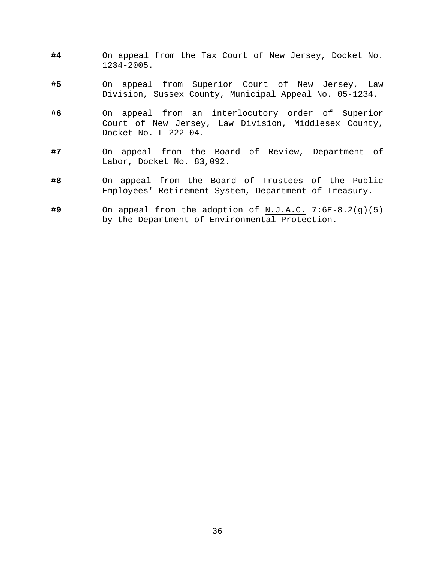- **#4** On appeal from the Tax Court of New Jersey, Docket No. 1234-2005.
- **#5** On appeal from Superior Court of New Jersey, Law Division, Sussex County, Municipal Appeal No. 05-1234.
- **#6** On appeal from an interlocutory order of Superior Court of New Jersey, Law Division, Middlesex County, Docket No. L-222-04.
- **#7** On appeal from the Board of Review, Department of Labor, Docket No. 83,092.
- **#8** On appeal from the Board of Trustees of the Public Employees' Retirement System, Department of Treasury.
- **#9** On appeal from the adoption of N.J.A.C. 7:6E-8.2(g)(5) by the Department of Environmental Protection.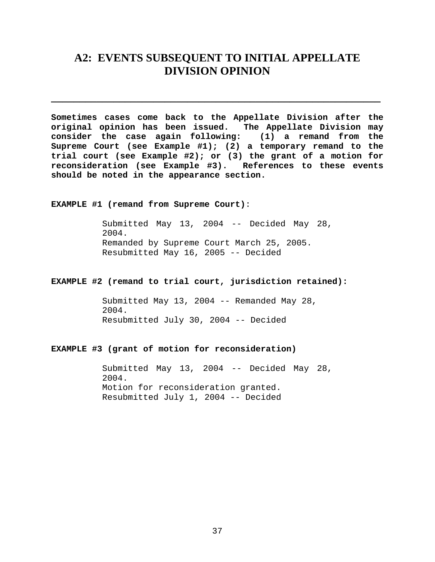## <span id="page-36-0"></span>**A2: EVENTS SUBSEQUENT TO INITIAL APPELLATE DIVISION OPINION**

**\_\_\_\_\_\_\_\_\_\_\_\_\_\_\_\_\_\_\_\_\_\_\_\_\_\_\_\_\_\_\_\_\_\_\_\_\_\_\_\_\_\_\_\_\_\_\_\_\_\_\_\_\_\_\_\_\_\_** 

**Sometimes cases come back to the Appellate Division after the original opinion has been issued. The Appellate Division may consider the case again following: (1) a remand from the Supreme Court (see Example #1); (2) a temporary remand to the trial court (see Example #2); or (3) the grant of a motion for reconsideration (see Example #3). References to these events should be noted in the appearance section.** 

**EXAMPLE #1 (remand from Supreme Court)**:

Submitted May 13, 2004 -- Decided May 28, 2004. Remanded by Supreme Court March 25, 2005. Resubmitted May 16, 2005 -- Decided

#### **EXAMPLE #2 (remand to trial court, jurisdiction retained):**

Submitted May 13, 2004 -- Remanded May 28, 2004. Resubmitted July 30, 2004 -- Decided

#### **EXAMPLE #3 (grant of motion for reconsideration)**

Submitted May 13, 2004 -- Decided May 28, 2004. Motion for reconsideration granted. Resubmitted July 1, 2004 -- Decided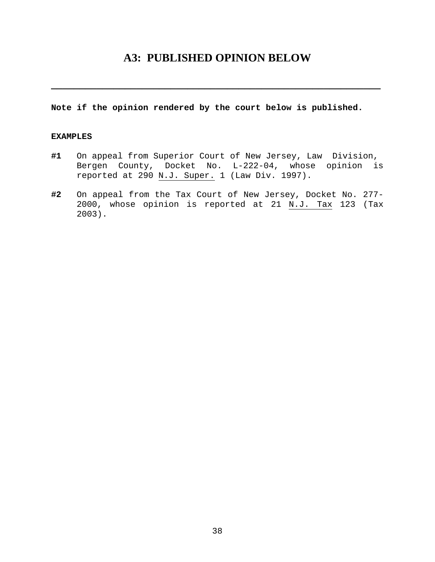## **A3: PUBLISHED OPINION BELOW**

<span id="page-37-0"></span>**\_\_\_\_\_\_\_\_\_\_\_\_\_\_\_\_\_\_\_\_\_\_\_\_\_\_\_\_\_\_\_\_\_\_\_\_\_\_\_\_\_\_\_\_\_\_\_\_\_\_\_\_\_\_\_\_\_\_** 

#### **Note if the opinion rendered by the court below is published.**

#### **EXAMPLES**

- **#1** On appeal from Superior Court of New Jersey, Law Division, Bergen County, Docket No. L-222-04, whose opinion is reported at 290 N.J. Super. 1 (Law Div. 1997).
- **#2** On appeal from the Tax Court of New Jersey, Docket No. 277- 2000, whose opinion is reported at 21 N.J. Tax 123 (Tax 2003).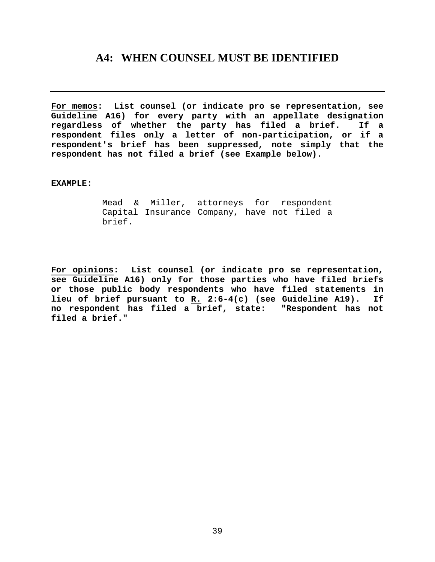## <span id="page-38-0"></span>**A4: WHEN COUNSEL MUST BE IDENTIFIED**

**For memos: List counsel (or indicate pro se representation, see Guideline A16) for every party with an appellate designation regardless of whether the party has filed a brief. If a respondent files only a letter of non-participation, or if a respondent's brief has been suppressed, note simply that the respondent has not filed a brief (see Example below).** 

#### **EXAMPLE:**

Mead & Miller, attorneys for respondent Capital Insurance Company, have not filed a brief.

**For opinions: List counsel (or indicate pro se representation, see Guideline A16) only for those parties who have filed briefs or those public body respondents who have filed statements in lieu of brief pursuant to R. 2:6-4(c) (see Guideline A19). If no respondent has filed a brief, state: "Respondent has not filed a brief."**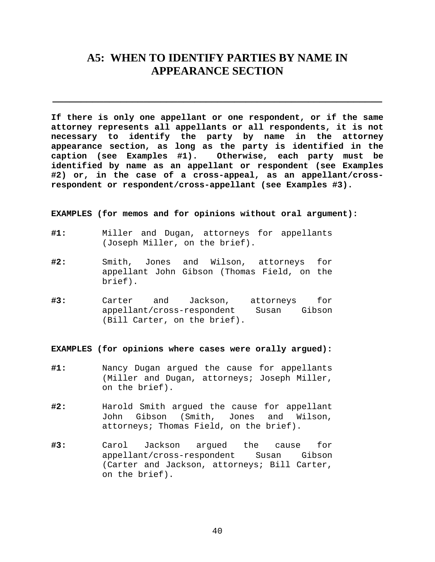## <span id="page-39-0"></span>**A5: WHEN TO IDENTIFY PARTIES BY NAME IN APPEARANCE SECTION**

**\_\_\_\_\_\_\_\_\_\_\_\_\_\_\_\_\_\_\_\_\_\_\_\_\_\_\_\_\_\_\_\_\_\_\_\_\_\_\_\_\_\_\_\_\_\_\_\_\_\_\_\_\_\_\_\_\_\_** 

**If there is only one appellant or one respondent, or if the same attorney represents all appellants or all respondents, it is not necessary to identify the party by name in the attorney appearance section, as long as the party is identified in the caption (see Examples #1). Otherwise, each party must be identified by name as an appellant or respondent (see Examples #2) or, in the case of a cross-appeal, as an appellant/crossrespondent or respondent/cross-appellant (see Examples #3).** 

**EXAMPLES (for memos and for opinions without oral argument):** 

- **#1:** Miller and Dugan, attorneys for appellants (Joseph Miller, on the brief).
- **#2:** Smith, Jones and Wilson, attorneys for appellant John Gibson (Thomas Field, on the brief).
- **#3:** Carter and Jackson, attorneys for appellant/cross-respondent Susan Gibson (Bill Carter, on the brief).

**EXAMPLES (for opinions where cases were orally argued):** 

- **#1:** Nancy Dugan argued the cause for appellants (Miller and Dugan, attorneys; Joseph Miller, on the brief).
- **#2:** Harold Smith argued the cause for appellant John Gibson (Smith, Jones and Wilson, attorneys; Thomas Field, on the brief).
- **#3:** Carol Jackson argued the cause for appellant/cross-respondent Susan Gibson (Carter and Jackson, attorneys; Bill Carter, on the brief).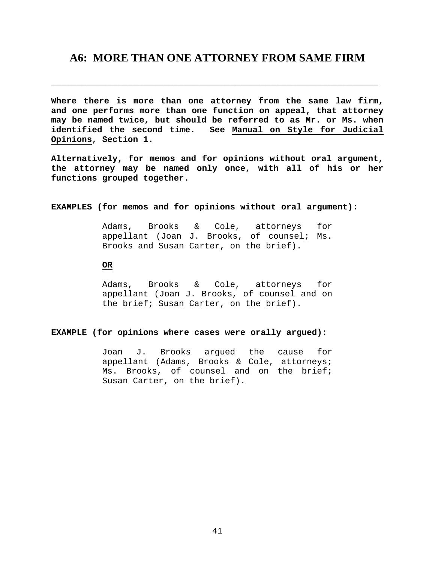### <span id="page-40-0"></span>**A6: MORE THAN ONE ATTORNEY FROM SAME FIRM**

\_\_\_\_\_\_\_\_\_\_\_\_\_\_\_\_\_\_\_\_\_\_\_\_\_\_\_\_\_\_\_\_\_\_\_\_\_\_\_\_\_\_\_\_\_\_\_\_\_\_\_\_\_\_\_\_\_\_\_\_\_\_\_\_

**Where there is more than one attorney from the same law firm, and one performs more than one function on appeal, that attorney may be named twice, but should be referred to as Mr. or Ms. when identified the second time. See Manual on Style for Judicial Opinions, Section 1.** 

**Alternatively, for memos and for opinions without oral argument, the attorney may be named only once, with all of his or her functions grouped together.** 

#### **EXAMPLES (for memos and for opinions without oral argument):**

Adams, Brooks & Cole, attorneys for appellant (Joan J. Brooks, of counsel; Ms. Brooks and Susan Carter, on the brief).

#### **OR**

Adams, Brooks & Cole, attorneys for appellant (Joan J. Brooks, of counsel and on the brief; Susan Carter, on the brief).

#### **EXAMPLE (for opinions where cases were orally argued):**

Joan J. Brooks argued the cause for appellant (Adams, Brooks & Cole, attorneys; Ms. Brooks, of counsel and on the brief; Susan Carter, on the brief).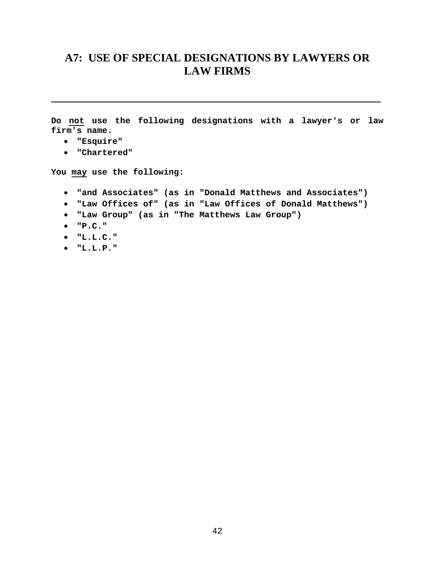## <span id="page-41-0"></span>**A7: USE OF SPECIAL DESIGNATIONS BY LAWYERS OR LAW FIRMS**

**Do not use the following designations with a lawyer's or law firm's name.** 

**\_\_\_\_\_\_\_\_\_\_\_\_\_\_\_\_\_\_\_\_\_\_\_\_\_\_\_\_\_\_\_\_\_\_\_\_\_\_\_\_\_\_\_\_\_\_\_\_\_\_\_\_\_\_\_\_\_\_** 

- **"Esquire"**
- **"Chartered"**

**You may use the following:** 

- **"and Associates" (as in "Donald Matthews and Associates")**
- **"Law Offices of" (as in "Law Offices of Donald Matthews")**
- **"Law Group" (as in "The Matthews Law Group")**
- **"P.C."**
- **"L.L.C."**
- **"L.L.P."**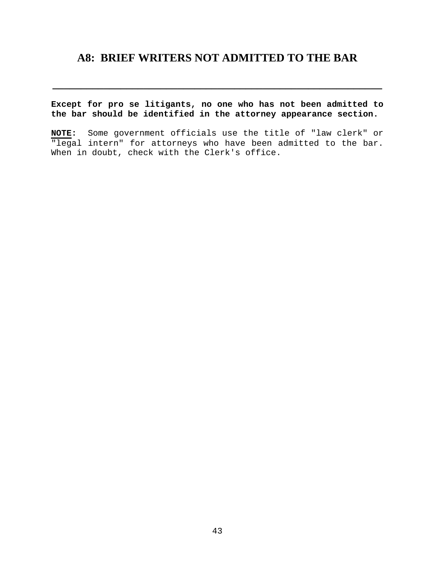## <span id="page-42-0"></span>**A8: BRIEF WRITERS NOT ADMITTED TO THE BAR**

**Except for pro se litigants, no one who has not been admitted to the bar should be identified in the attorney appearance section.** 

**\_\_\_\_\_\_\_\_\_\_\_\_\_\_\_\_\_\_\_\_\_\_\_\_\_\_\_\_\_\_\_\_\_\_\_\_\_\_\_\_\_\_\_\_\_\_\_\_\_\_\_\_\_\_\_\_\_\_** 

**NOTE:** Some government officials use the title of "law clerk" or "legal intern" for attorneys who have been admitted to the bar. When in doubt, check with the Clerk's office.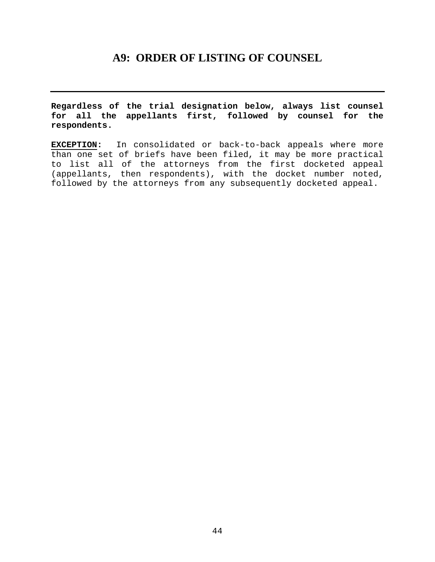## **A9: ORDER OF LISTING OF COUNSEL**

<span id="page-43-0"></span>**Regardless of the trial designation below, always list counsel for all the appellants first, followed by counsel for the respondents.** 

**EXCEPTION:** In consolidated or back-to-back appeals where more than one set of briefs have been filed, it may be more practical to list all of the attorneys from the first docketed appeal (appellants, then respondents), with the docket number noted, followed by the attorneys from any subsequently docketed appeal.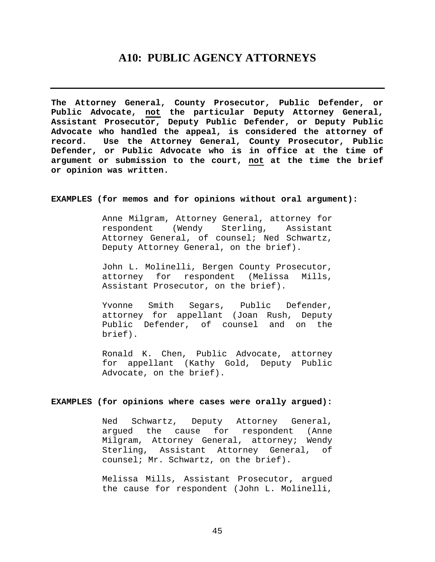### **A10: PUBLIC AGENCY ATTORNEYS**

<span id="page-44-0"></span>**The Attorney General, County Prosecutor, Public Defender, or Public Advocate, not the particular Deputy Attorney General, Assistant Prosecutor, Deputy Public Defender, or Deputy Public Advocate who handled the appeal, is considered the attorney of record. Use the Attorney General, County Prosecutor, Public Defender, or Public Advocate who is in office at the time of argument or submission to the court, not at the time the brief or opinion was written.** 

#### **EXAMPLES (for memos and for opinions without oral argument):**

Anne Milgram, Attorney General, attorney for respondent (Wendy Sterling, Assistant Attorney General, of counsel; Ned Schwartz, Deputy Attorney General, on the brief).

John L. Molinelli, Bergen County Prosecutor, attorney for respondent (Melissa Mills, Assistant Prosecutor, on the brief).

Yvonne Smith Segars, Public Defender, attorney for appellant (Joan Rush, Deputy Public Defender, of counsel and on the brief).

Ronald K. Chen, Public Advocate, attorney for appellant (Kathy Gold, Deputy Public Advocate, on the brief).

#### **EXAMPLES (for opinions where cases were orally argued):**

Ned Schwartz, Deputy Attorney General, argued the cause for respondent (Anne Milgram, Attorney General, attorney; Wendy Sterling, Assistant Attorney General, of counsel; Mr. Schwartz, on the brief).

Melissa Mills, Assistant Prosecutor, argued the cause for respondent (John L. Molinelli,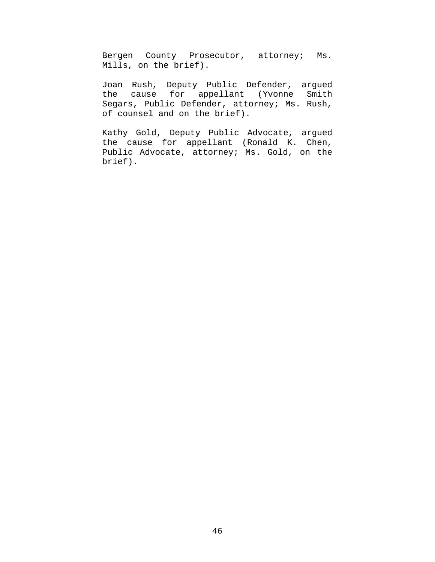Bergen County Prosecutor, attorney; Ms. Mills, on the brief).

Joan Rush, Deputy Public Defender, argued the cause for appellant (Yvonne Smith Segars, Public Defender, attorney; Ms. Rush, of counsel and on the brief).

Kathy Gold, Deputy Public Advocate, argued the cause for appellant (Ronald K. Chen, Public Advocate, attorney; Ms. Gold, on the brief).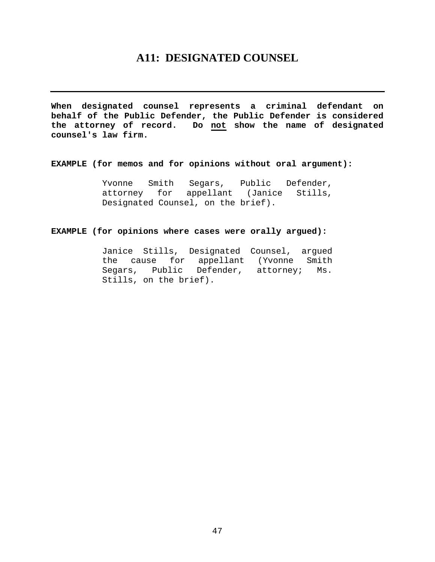## **A11: DESIGNATED COUNSEL**

<span id="page-46-0"></span>**When designated counsel represents a criminal defendant on behalf of the Public Defender, the Public Defender is considered the attorney of record. Do not show the name of designated counsel's law firm.** 

#### **EXAMPLE (for memos and for opinions without oral argument):**

Yvonne Smith Segars, Public Defender, attorney for appellant (Janice Stills, Designated Counsel, on the brief).

#### **EXAMPLE (for opinions where cases were orally argued):**

Janice Stills, Designated Counsel, argued the cause for appellant (Yvonne Smith Segars, Public Defender, attorney; Ms. Stills, on the brief).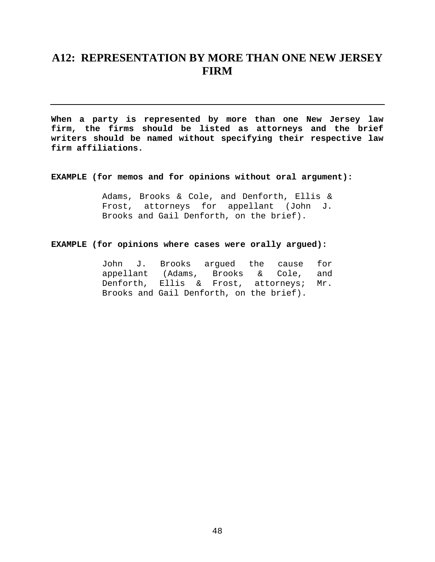## <span id="page-47-0"></span>**A12: REPRESENTATION BY MORE THAN ONE NEW JERSEY FIRM**

**When a party is represented by more than one New Jersey law firm, the firms should be listed as attorneys and the brief writers should be named without specifying their respective law firm affiliations.** 

**EXAMPLE (for memos and for opinions without oral argument):** 

Adams, Brooks & Cole, and Denforth, Ellis & Frost, attorneys for appellant (John J. Brooks and Gail Denforth, on the brief).

#### **EXAMPLE (for opinions where cases were orally argued):**

|  |  |  | John J. Brooks arqued the cause for      |  |
|--|--|--|------------------------------------------|--|
|  |  |  | appellant (Adams, Brooks & Cole, and     |  |
|  |  |  | Denforth, Ellis & Frost, attorneys; Mr.  |  |
|  |  |  | Brooks and Gail Denforth, on the brief). |  |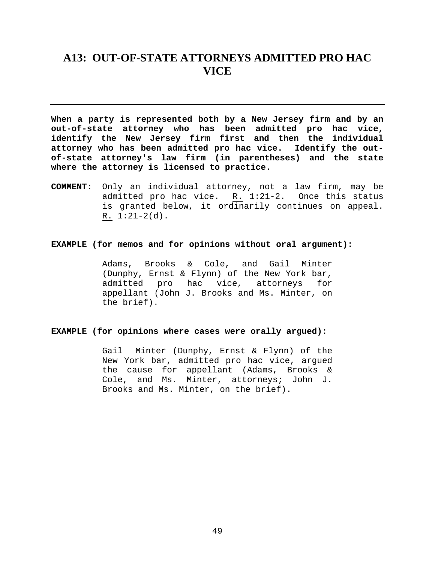## <span id="page-48-0"></span>**A13: OUT-OF-STATE ATTORNEYS ADMITTED PRO HAC VICE**

**When a party is represented both by a New Jersey firm and by an out-of-state attorney who has been admitted pro hac vice, identify the New Jersey firm first and then the individual attorney who has been admitted pro hac vice. Identify the outof-state attorney's law firm (in parentheses) and the state where the attorney is licensed to practice.** 

**COMMENT:** Only an individual attorney, not a law firm, may be admitted pro hac vice. R. 1:21-2. Once this status is granted below, it ordinarily continues on appeal.  $R. 1:21-2(d).$ 

#### **EXAMPLE (for memos and for opinions without oral argument):**

Adams, Brooks & Cole, and Gail Minter (Dunphy, Ernst & Flynn) of the New York bar, admitted pro hac vice, attorneys for appellant (John J. Brooks and Ms. Minter, on the brief).

#### **EXAMPLE (for opinions where cases were orally argued):**

Gail Minter (Dunphy, Ernst & Flynn) of the New York bar, admitted pro hac vice, argued the cause for appellant (Adams, Brooks & Cole, and Ms. Minter, attorneys; John J. Brooks and Ms. Minter, on the brief).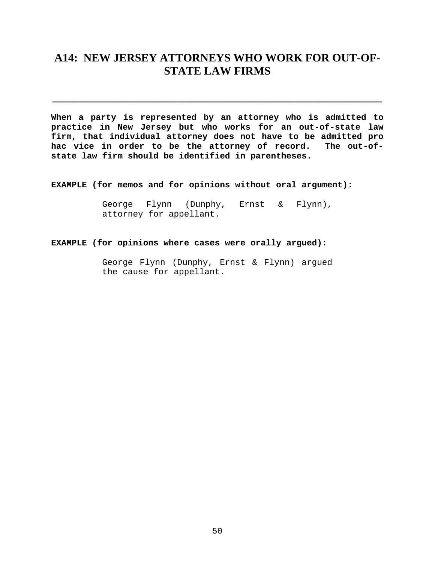## <span id="page-49-0"></span>**A14: NEW JERSEY ATTORNEYS WHO WORK FOR OUT-OF-STATE LAW FIRMS**

**\_\_\_\_\_\_\_\_\_\_\_\_\_\_\_\_\_\_\_\_\_\_\_\_\_\_\_\_\_\_\_\_\_\_\_\_\_\_\_\_\_\_\_\_\_\_\_\_\_\_\_\_\_\_\_\_\_\_** 

**When a party is represented by an attorney who is admitted to practice in New Jersey but who works for an out-of-state law firm, that individual attorney does not have to be admitted pro hac vice in order to be the attorney of record. The out-ofstate law firm should be identified in parentheses.** 

**EXAMPLE (for memos and for opinions without oral argument):** 

George Flynn (Dunphy, Ernst & Flynn), attorney for appellant.

#### **EXAMPLE (for opinions where cases were orally argued):**

George Flynn (Dunphy, Ernst & Flynn) argued the cause for appellant.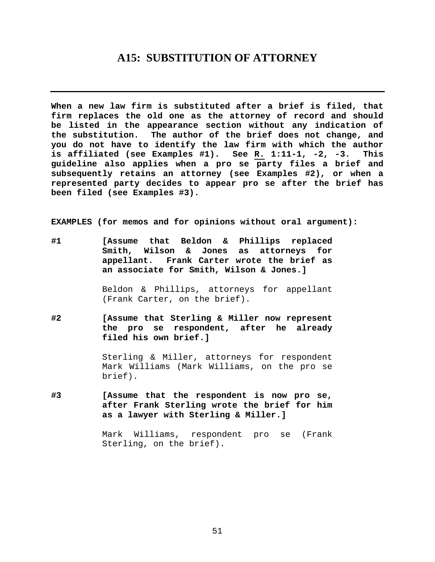### **A15: SUBSTITUTION OF ATTORNEY**

<span id="page-50-0"></span>**When a new law firm is substituted after a brief is filed, that firm replaces the old one as the attorney of record and should be listed in the appearance section without any indication of the substitution. The author of the brief does not change, and you do not have to identify the law firm with which the author is affiliated (see Examples #1). See R. 1:11-1, -2, -3. This guideline also applies when a pro se party files a brief and subsequently retains an attorney (see Examples #2), or when a represented party decides to appear pro se after the brief has been filed (see Examples #3).** 

**EXAMPLES (for memos and for opinions without oral argument):**

**#1 [Assume that Beldon & Phillips replaced Smith, Wilson & Jones as attorneys for appellant. Frank Carter wrote the brief as an associate for Smith, Wilson & Jones.]**

> Beldon & Phillips, attorneys for appellant (Frank Carter, on the brief).

**#2 [Assume that Sterling & Miller now represent the pro se respondent, after he already filed his own brief.]**

> Sterling & Miller, attorneys for respondent Mark Williams (Mark Williams, on the pro se brief).

**#3 [Assume that the respondent is now pro se, after Frank Sterling wrote the brief for him as a lawyer with Sterling & Miller.]**

> Mark Williams, respondent pro se (Frank Sterling, on the brief).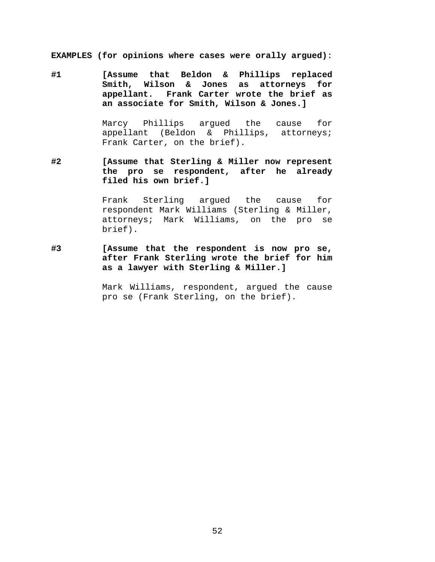**EXAMPLES (for opinions where cases were orally argued)**:

**#1 [Assume that Beldon & Phillips replaced Smith, Wilson & Jones as attorneys for appellant. Frank Carter wrote the brief as an associate for Smith, Wilson & Jones.]**

> Marcy Phillips argued the cause for appellant (Beldon & Phillips, attorneys; Frank Carter, on the brief).

**#2 [Assume that Sterling & Miller now represent the pro se respondent, after he already filed his own brief.]**

> Frank Sterling argued the cause for respondent Mark Williams (Sterling & Miller, attorneys; Mark Williams, on the pro se brief).

**#3 [Assume that the respondent is now pro se, after Frank Sterling wrote the brief for him as a lawyer with Sterling & Miller.]**

> Mark Williams, respondent, argued the cause pro se (Frank Sterling, on the brief).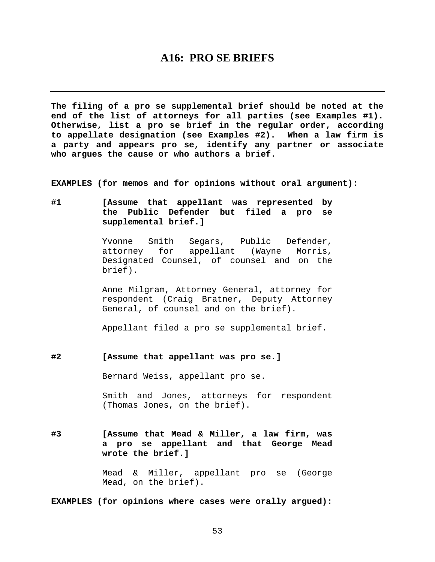### **A16: PRO SE BRIEFS**

<span id="page-52-0"></span>**The filing of a pro se supplemental brief should be noted at the end of the list of attorneys for all parties (see Examples #1). Otherwise, list a pro se brief in the regular order, according to appellate designation (see Examples #2). When a law firm is a party and appears pro se, identify any partner or associate who argues the cause or who authors a brief.** 

**EXAMPLES (for memos and for opinions without oral argument):** 

**#1 [Assume that appellant was represented by the Public Defender but filed a pro se supplemental brief.]** 

> Yvonne Smith Segars, Public Defender, attorney for appellant (Wayne Morris, Designated Counsel, of counsel and on the brief).

> Anne Milgram, Attorney General, attorney for respondent (Craig Bratner, Deputy Attorney General, of counsel and on the brief).

Appellant filed a pro se supplemental brief.

**#2 [Assume that appellant was pro se.]** 

Bernard Weiss, appellant pro se.

 Smith and Jones, attorneys for respondent (Thomas Jones, on the brief).

**#3 [Assume that Mead & Miller, a law firm, was a pro se appellant and that George Mead wrote the brief.]** 

> Mead & Miller, appellant pro se (George Mead, on the brief).

**EXAMPLES (for opinions where cases were orally argued):**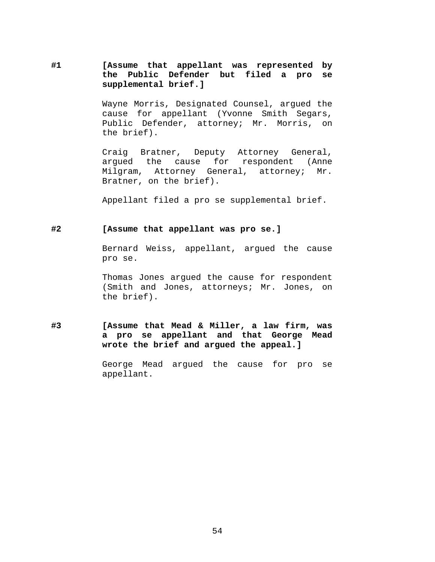**#1 [Assume that appellant was represented by the Public Defender but filed a pro se supplemental brief.]** 

> Wayne Morris, Designated Counsel, argued the cause for appellant (Yvonne Smith Segars, Public Defender, attorney; Mr. Morris, on the brief).

> Craig Bratner, Deputy Attorney General, argued the cause for respondent (Anne Milgram, Attorney General, attorney; Mr. Bratner, on the brief).

Appellant filed a pro se supplemental brief.

#### **#2 [Assume that appellant was pro se.]**

Bernard Weiss, appellant, argued the cause pro se.

Thomas Jones argued the cause for respondent (Smith and Jones, attorneys; Mr. Jones, on the brief).

**#3 [Assume that Mead & Miller, a law firm, was a pro se appellant and that George Mead wrote the brief and argued the appeal.]** 

> George Mead argued the cause for pro se appellant.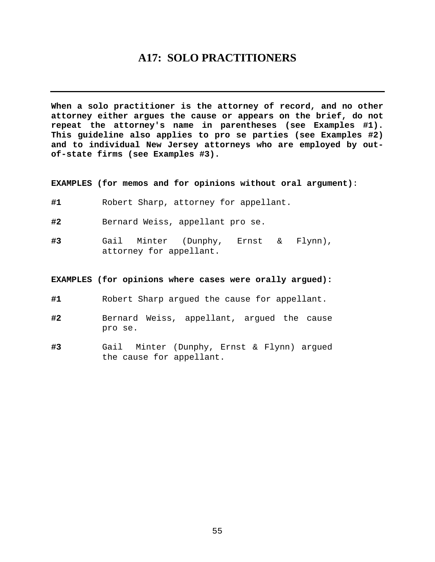## **A17: SOLO PRACTITIONERS**

<span id="page-54-0"></span>**When a solo practitioner is the attorney of record, and no other attorney either argues the cause or appears on the brief, do not repeat the attorney's name in parentheses (see Examples #1). This guideline also applies to pro se parties (see Examples #2) and to individual New Jersey attorneys who are employed by outof-state firms (see Examples #3).** 

**EXAMPLES (for memos and for opinions without oral argument)**:

- **#1** Robert Sharp, attorney for appellant.
- **#2** Bernard Weiss, appellant pro se.
- **#3** Gail Minter (Dunphy, Ernst & Flynn), attorney for appellant.

#### **EXAMPLES (for opinions where cases were orally argued):**

- **#1** Robert Sharp argued the cause for appellant.
- **#2** Bernard Weiss, appellant, argued the cause pro se.
- **#3** Gail Minter (Dunphy, Ernst & Flynn) argued the cause for appellant.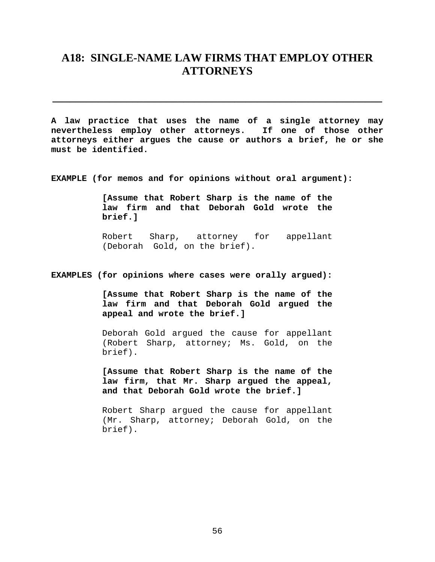## <span id="page-55-0"></span>**A18: SINGLE-NAME LAW FIRMS THAT EMPLOY OTHER ATTORNEYS**

**\_\_\_\_\_\_\_\_\_\_\_\_\_\_\_\_\_\_\_\_\_\_\_\_\_\_\_\_\_\_\_\_\_\_\_\_\_\_\_\_\_\_\_\_\_\_\_\_\_\_\_\_\_\_\_\_\_\_** 

**A law practice that uses the name of a single attorney may nevertheless employ other attorneys. If one of those other attorneys either argues the cause or authors a brief, he or she must be identified.** 

**EXAMPLE (for memos and for opinions without oral argument):** 

**[Assume that Robert Sharp is the name of the law firm and that Deborah Gold wrote the brief.]** 

Robert Sharp, attorney for appellant (Deborah Gold, on the brief).

**EXAMPLES (for opinions where cases were orally argued):** 

**[Assume that Robert Sharp is the name of the law firm and that Deborah Gold argued the appeal and wrote the brief.]** 

Deborah Gold argued the cause for appellant (Robert Sharp, attorney; Ms. Gold, on the brief).

**[Assume that Robert Sharp is the name of the law firm, that Mr. Sharp argued the appeal, and that Deborah Gold wrote the brief.]** 

Robert Sharp argued the cause for appellant (Mr. Sharp, attorney; Deborah Gold, on the brief).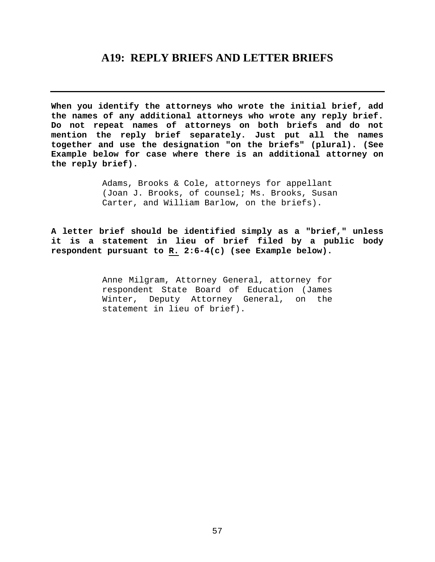### **A19: REPLY BRIEFS AND LETTER BRIEFS**

<span id="page-56-0"></span>**When you identify the attorneys who wrote the initial brief, add the names of any additional attorneys who wrote any reply brief. Do not repeat names of attorneys on both briefs and do not mention the reply brief separately. Just put all the names together and use the designation "on the briefs" (plural). (See Example below for case where there is an additional attorney on the reply brief).** 

> Adams, Brooks & Cole, attorneys for appellant (Joan J. Brooks, of counsel; Ms. Brooks, Susan Carter, and William Barlow, on the briefs).

**A letter brief should be identified simply as a "brief," unless it is a statement in lieu of brief filed by a public body respondent pursuant to R. 2:6-4(c) (see Example below).**

> Anne Milgram, Attorney General, attorney for respondent State Board of Education (James Winter, Deputy Attorney General, on the statement in lieu of brief).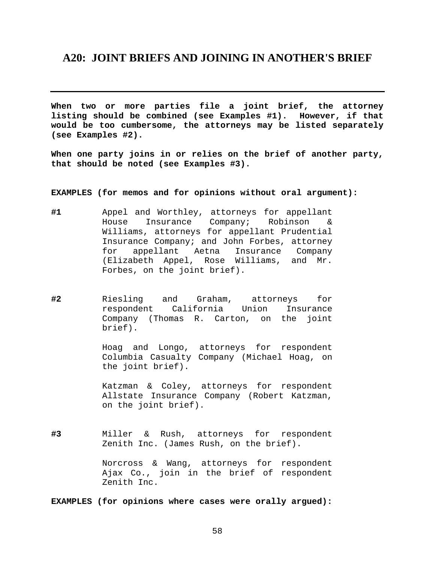### <span id="page-57-0"></span>**A20: JOINT BRIEFS AND JOINING IN ANOTHER'S BRIEF**

**When two or more parties file a joint brief, the attorney listing should be combined (see Examples #1). However, if that would be too cumbersome, the attorneys may be listed separately (see Examples #2).** 

**When one party joins in or relies on the brief of another party, that should be noted (see Examples #3).**

**EXAMPLES (for memos and for opinions without oral argument):** 

- **#1** Appel and Worthley, attorneys for appellant House Insurance Company; Robinson & Williams, attorneys for appellant Prudential Insurance Company; and John Forbes, attorney for appellant Aetna Insurance Company (Elizabeth Appel, Rose Williams, and Mr. Forbes, on the joint brief).
- **#2** Riesling and Graham, attorneys for respondent California Union Insurance Company (Thomas R. Carton, on the joint brief).

Hoag and Longo, attorneys for respondent Columbia Casualty Company (Michael Hoag, on the joint brief).

Katzman & Coley, attorneys for respondent Allstate Insurance Company (Robert Katzman, on the joint brief).

**#3** Miller & Rush, attorneys for respondent Zenith Inc. (James Rush, on the brief).

> Norcross & Wang, attorneys for respondent Ajax Co., join in the brief of respondent Zenith Inc.

**EXAMPLES (for opinions where cases were orally argued):**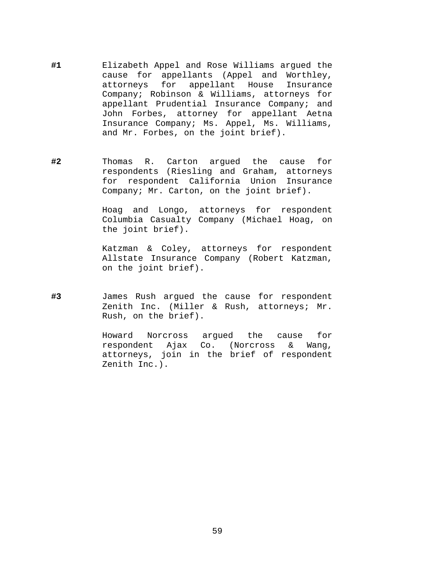- **#1** Elizabeth Appel and Rose Williams argued the cause for appellants (Appel and Worthley, attorneys for appellant House Insurance Company; Robinson & Williams, attorneys for appellant Prudential Insurance Company; and John Forbes, attorney for appellant Aetna Insurance Company; Ms. Appel, Ms. Williams, and Mr. Forbes, on the joint brief).
- **#2** Thomas R. Carton argued the cause for respondents (Riesling and Graham, attorneys for respondent California Union Insurance Company; Mr. Carton, on the joint brief).

Hoag and Longo, attorneys for respondent Columbia Casualty Company (Michael Hoag, on the joint brief).

Katzman & Coley, attorneys for respondent Allstate Insurance Company (Robert Katzman, on the joint brief).

**#3** James Rush argued the cause for respondent Zenith Inc. (Miller & Rush, attorneys; Mr. Rush, on the brief).

> Howard Norcross argued the cause for respondent Ajax Co. (Norcross & Wang, attorneys, join in the brief of respondent Zenith Inc.).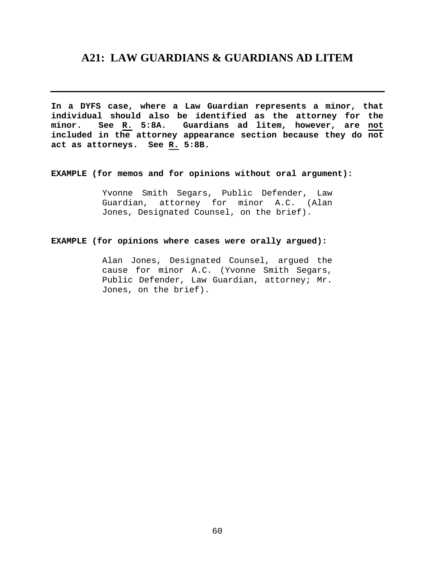## <span id="page-59-0"></span>**A21: LAW GUARDIANS & GUARDIANS AD LITEM**

**In a DYFS case, where a Law Guardian represents a minor, that individual should also be identified as the attorney for the minor. See R. 5:8A. Guardians ad litem, however, are not included in the attorney appearance section because they do not act as attorneys. See R. 5:8B.** 

#### **EXAMPLE (for memos and for opinions without oral argument):**

Yvonne Smith Segars, Public Defender, Law Guardian, attorney for minor A.C. (Alan Jones, Designated Counsel, on the brief).

#### **EXAMPLE (for opinions where cases were orally argued):**

Alan Jones, Designated Counsel, argued the cause for minor A.C. (Yvonne Smith Segars, Public Defender, Law Guardian, attorney; Mr. Jones, on the brief).